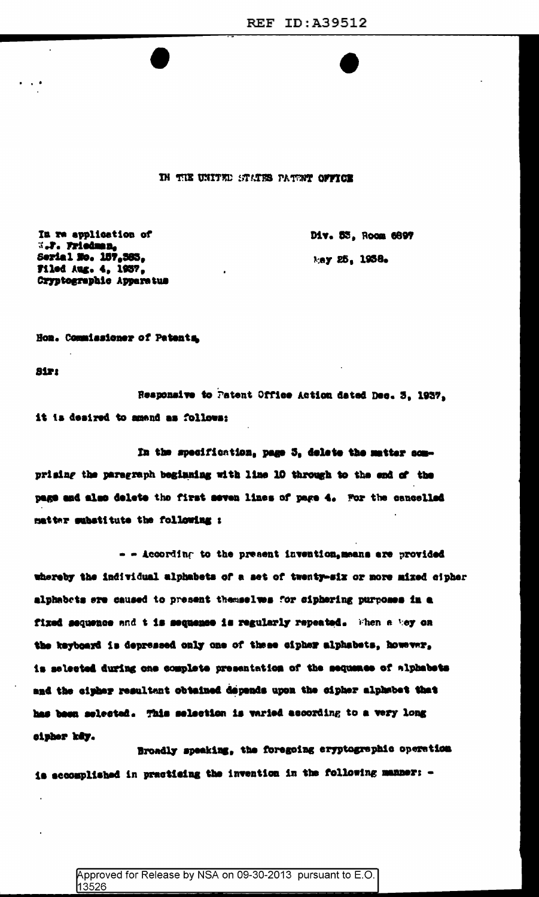IN THE UNITED STATES PATENT OFFICE

In we application of W.P. Friedman,<br>Serial No. 157,583, **Filed Aug. 4, 1957.** Cryptographic Apparatus Div. 53. Room 6897 May 25, 1938.

Hon. Commissioner of Patenta

**Sir:** 

 $\mathbf{r}$ 

Responsive to Patent Office Action dated Dec. 3. 1937. it is desired to amend as follows:

In the specification, page 5, delete the matter comprising the paragraph beginning with line 10 through to the end of the page and also delete the first seven lines of page 4. For the cancelled matter substitute the following :

- - According to the present invention, means are provided whereby the individual alphabets of a set of twenty-six or more mixed cipher alphabets are caused to present themselves for ciphering purposes in a fixed sequence and t is sequence is regularly repeated. When a hey on the keyboard is depressed only one of these cipher alphabets, however, is selected during one complete presentation of the sequence of alphabets and the cipher resultant obtained depends upon the cipher alphabet that has been selected. This selection is varied according to a very long cipher key.

Broadly speaking, the foregoing eryptographic operation is accomplished in practicing the invention in the following manner: -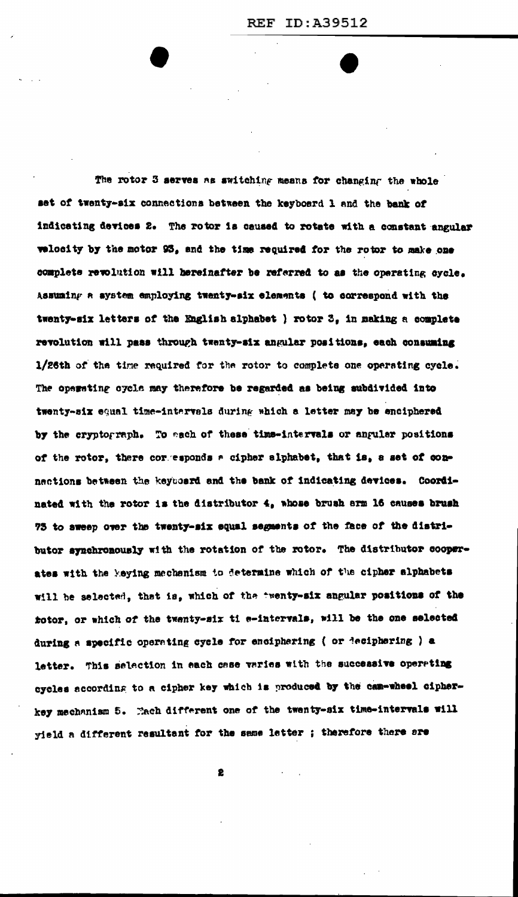The rotor 3 serves as switching means for changing the whole set of twenty-six connections between the keyboard 1 and the bank of indicating devices 2. The rotor is caused to rotate with a constant angular velocity by the motor 93, and the time required for the rotor to make one complete revolution will bereinafter be referred to as the operating cycle. Assuming a system employing twenty-six elements ( to correspond with the twenty-six letters of the English alphabet ) rotor 3, in making a complete revolution will pass through twenty-six angular positions, each consuming 1/26th of the time required for the rotor to complete one operating cycle. The operating cycle may therefore be regarded as being subdivided into twenty-six equal time-intervals during which a letter may be enciphered by the cryptograph. To each of these time-intervals or anguler positions of the rotor, there corresponds a cipher alphabet, that is, a set of connections between the keyboard and the bank of indicating devices. Coordinated with the rotor is the distributor 4, whose brush arm 16 causes brush 75 to sweep over the twenty-six equal segments of the face of the distributor synchronously with the rotation of the rotor. The distributor cooperates with the keying mechanism to determine which of the cipher alphabets will be selected, that is, which of the twenty-six angular positions of the totor, or which of the twenty-six ti e-intervals, will be the one selected during a specific operating cycle for enciphering ( or deciphering ) a letter. This selection in each case varies with the successive operating cycles according to a cipher key which is produced by the cam-wheel cipherkey mechanism 5. Each different one of the twenty-six time-intervals will yield a different resultant for the same letter ; therefore there are

2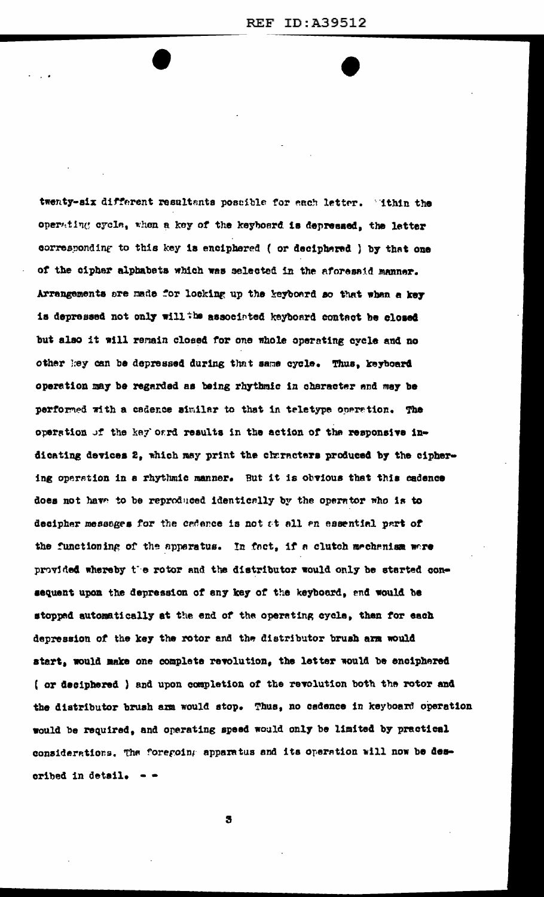twenty-six different resultants possible for each letter. "ithin the operating cycle, when a key of the keyboard is depressed, the letter corresponding to this key is enciphered ( or deciphered ) by that one of the cipher alphabets which was selected in the aforesaid manner. Arrangements are made for locking up the keyboard so that when a key is depressed not only will the associated keyboard contact be closed but also it will remain closed for one whole operating cycle and no other key can be depressed during that same cycle. Thus, keyboard operation may be regarded as being rhythmic in character and may be performed with a cadence similar to that in teletype operation. The operation of the key oard results in the action of the responsive indicating devices 2, which may print the churacters produced by the ciphering operation in a rhythmic manner. But it is obvious that this cadence does not have to be reproduced identically by the operator who is to decipher messages for the cadence is not at all an essential part of the functioning of the apperatus. In fact, if a clutch mechanism were provided whereby the rotor and the distributor would only be started consequent upon the depression of any key of the keyboard, and would be stopped automatically at the end of the operating cycle, then for each depression of the key the rotor and the distributor brush arm would start, would make one complete revolution, the letter would be enciphered ( or deciphered ) and upon completion of the revolution both the rotor and the distributor brush arm would stop. Thus, no cadence in keyboard operation would be required, and operating speed would only be limited by practical considerations. The foregoing apparatus and its operation will now be described in detail.  $-$ 

3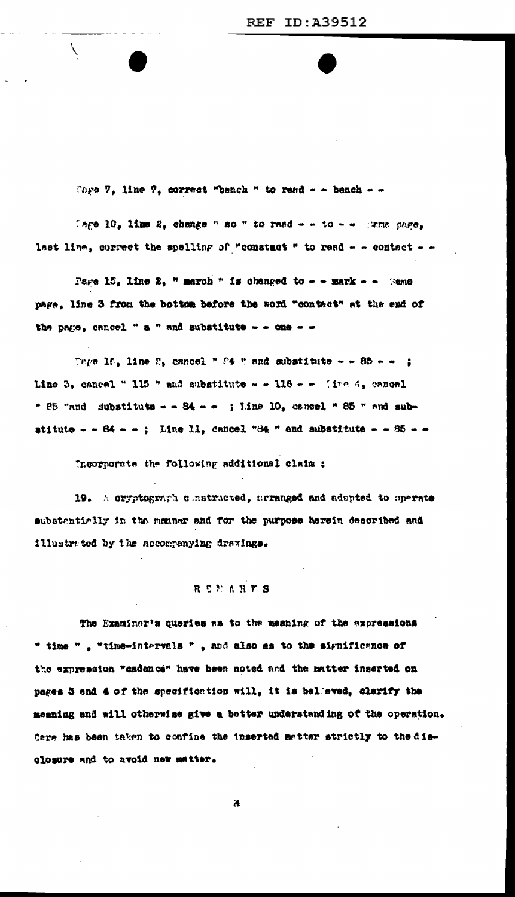Tage 7, line 7, correct "bench " to read - - bench - -

Tare 10. line 2. change " so " to read - - to - - Hame pare. last line, correct the spelling of "constact " to read - - contact - -

Pare 15. line 2. " march " is changed to - - mark - - (sme page, line 3 from the bottom before the word "contact" at the end of the page, cancel " a " and substitute - - one - -

Tage 16, line 2, cancel " F4 " and substitute - - 85 - - ; Line 3, cancel " 115 " and substitute - - 116 - - (inc. 4, cancel " 85 "and Substitute - - 84 - - ; Line 10, cancel " 85 " and substitute - - 84 - -; Line I1, cancel "84 " and substitute - - 85 - -

Incorporate the following additional claim :

19. A cryptograph constructed, arranged and adspted to operate substantially in the manner and for the purpose herein described and illustrated by the accompanying drawings.

## **BEPARYS**

The Examiner's queries as to the meaning of the expressions " time ", "time-intervals ", and also as to the significance of the expression "cadence" have been noted and the matter inserted on pages 3 and 4 of the specification will, it is belleved, clarify the meaning and will otherwise give a better understanding of the operation. Care has been taken to confine the inserted matter strictly to the disolosure and to avoid new matter.

ä